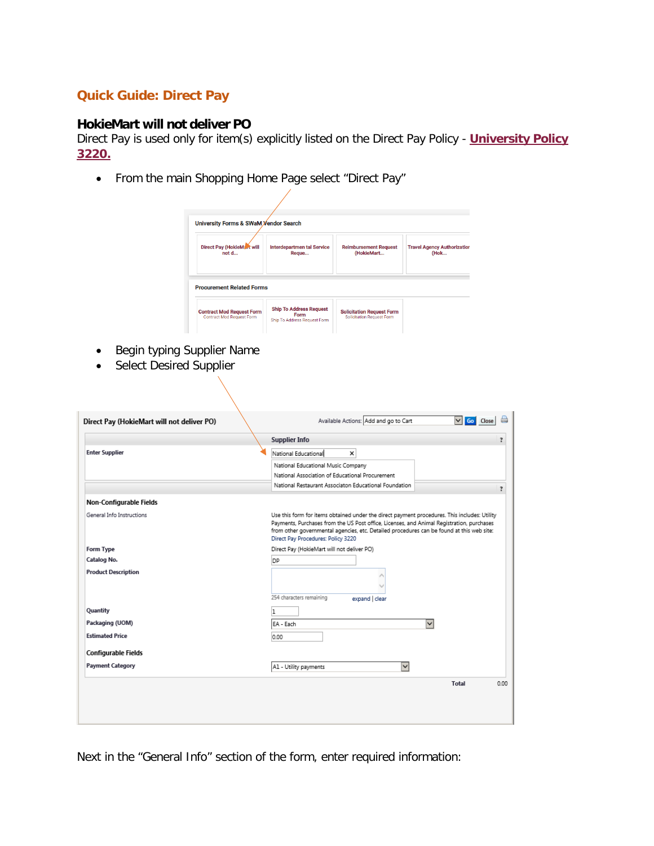## **Quick Guide: Direct Pay**

## **HokieMart will not deliver PO**

Direct Pay is used only for item(s) explicitly listed on the Direct Pay Policy - **[University Policy](https://policies.vt.edu/assets/3220.pdf)  [3220.](https://policies.vt.edu/assets/3220.pdf)**

• From the main Shopping Home Page select "Direct Pay"

| <b>University Forms &amp; SWaM Vendor Search</b><br><b>Direct Pay (HokieMart will</b><br>not d | <b>Interdepartmen tal Service</b> | <b>Reimbursement Request</b><br>(HokieMart | <b>Travel Agency Authorization</b><br>(Hok |
|------------------------------------------------------------------------------------------------|-----------------------------------|--------------------------------------------|--------------------------------------------|
|                                                                                                |                                   |                                            |                                            |
| <b>Procurement Related Forms</b>                                                               |                                   |                                            |                                            |

- Begin typing Supplier Name
- Select Desired Supplier

|                            | <b>Supplier Info</b>                                                                                                                                                                                                                                                                                                         | ?    |
|----------------------------|------------------------------------------------------------------------------------------------------------------------------------------------------------------------------------------------------------------------------------------------------------------------------------------------------------------------------|------|
| <b>Enter Supplier</b>      | National Educational<br>×                                                                                                                                                                                                                                                                                                    |      |
|                            | National Educational Music Company                                                                                                                                                                                                                                                                                           |      |
|                            | National Association of Educational Procurement                                                                                                                                                                                                                                                                              |      |
|                            | National Restaurant Associaton Educational Foundation                                                                                                                                                                                                                                                                        | ?    |
| Non-Configurable Fields    |                                                                                                                                                                                                                                                                                                                              |      |
| General Info Instructions  | Use this form for items obtained under the direct payment procedures. This includes: Utility<br>Payments, Purchases from the US Post office, Licenses, and Animal Registration, purchases<br>from other governmental agencies, etc. Detailed procedures can be found at this web site:<br>Direct Pay Procedures: Policy 3220 |      |
| <b>Form Type</b>           | Direct Pay (HokieMart will not deliver PO)                                                                                                                                                                                                                                                                                   |      |
| Catalog No.                | DP                                                                                                                                                                                                                                                                                                                           |      |
| <b>Product Description</b> | 254 characters remaining<br>expand   clear                                                                                                                                                                                                                                                                                   |      |
| Quantity                   |                                                                                                                                                                                                                                                                                                                              |      |
| Packaging (UOM)            | $\checkmark$<br>EA - Each                                                                                                                                                                                                                                                                                                    |      |
| <b>Estimated Price</b>     | 0.00                                                                                                                                                                                                                                                                                                                         |      |
| Configurable Fields        |                                                                                                                                                                                                                                                                                                                              |      |
| <b>Payment Category</b>    | $\checkmark$<br>A1 - Utility payments                                                                                                                                                                                                                                                                                        |      |
|                            | <b>Total</b>                                                                                                                                                                                                                                                                                                                 | 0.00 |

Next in the "General Info" section of the form, enter required information: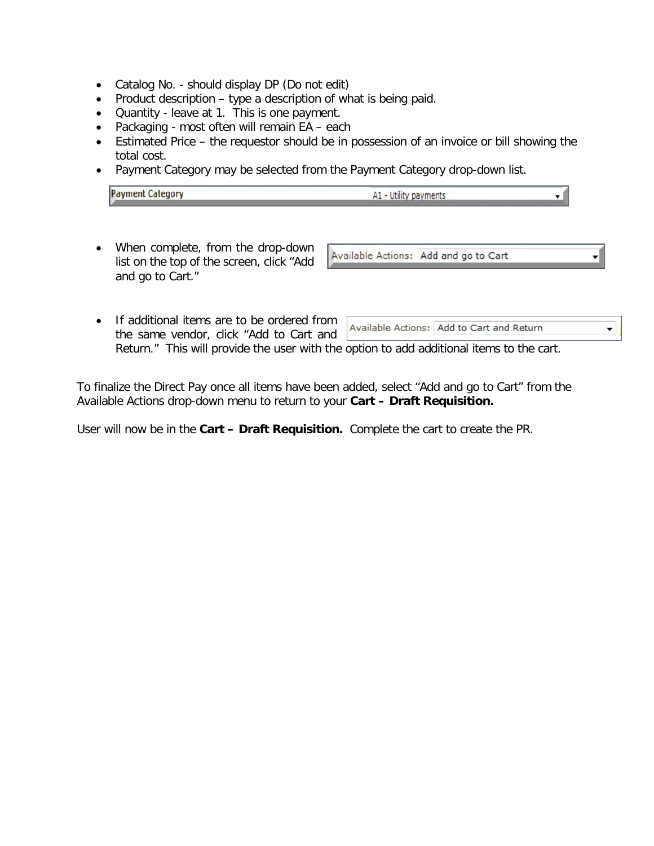- Catalog No. should display DP (Do not edit)
- Product description type a description of what is being paid.
- Quantity leave at 1. This is one payment.
- Packaging most often will remain EA each
- Estimated Price the requestor should be in possession of an invoice or bill showing the total cost.
- Payment Category may be selected from the Payment Category drop-down list.

| <b>Payment Category</b> | A1 - Utility payments |  |
|-------------------------|-----------------------|--|
|                         |                       |  |

• When complete, from the drop-down list on the top of the screen, click "Add and go to Cart."

Available Actions: Add and go to Cart

• If additional items are to be ordered from Available Actions: Add to Cart and Return ▼. the same vendor, click "Add to Cart and Return." This will provide the user with the option to add additional items to the cart.

To finalize the Direct Pay once all items have been added, select "Add and go to Cart" from the Available Actions drop-down menu to return to your **Cart – Draft Requisition.**

User will now be in the **Cart – Draft Requisition.** Complete the cart to create the PR.